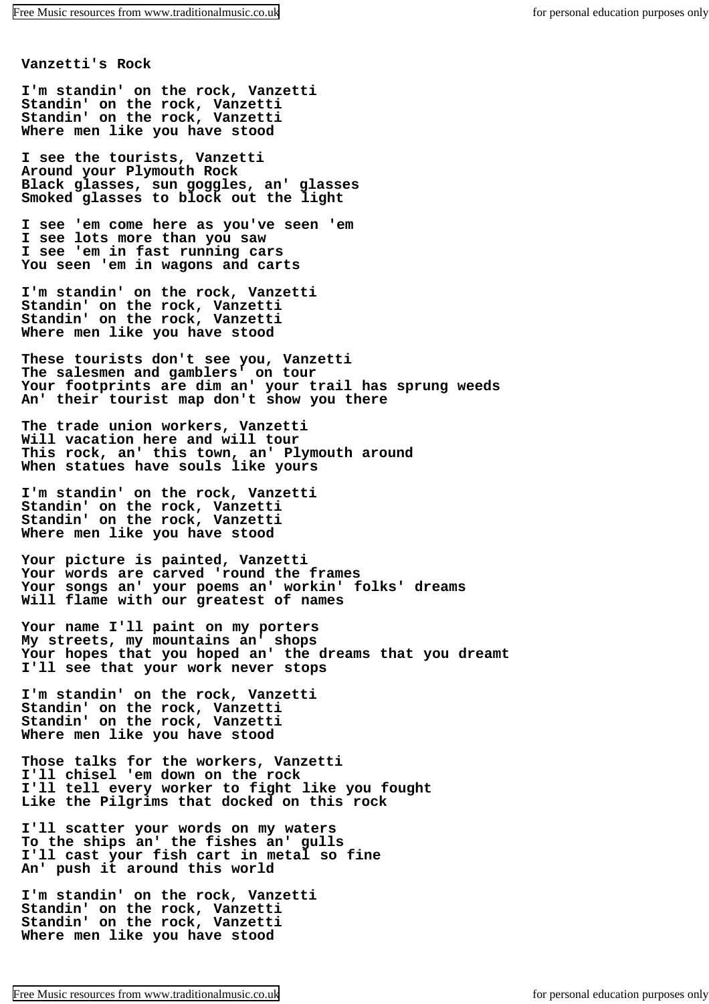**Vanzetti's Rock**

**I'm standin' on the rock, Vanzetti Standin' on the rock, Vanzetti Standin' on the rock, Vanzetti Where men like you have stood**

**I see the tourists, Vanzetti Around your Plymouth Rock Black glasses, sun goggles, an' glasses Smoked glasses to block out the light**

**I see 'em come here as you've seen 'em I see lots more than you saw I see 'em in fast running cars You seen 'em in wagons and carts**

**I'm standin' on the rock, Vanzetti Standin' on the rock, Vanzetti Standin' on the rock, Vanzetti Where men like you have stood**

**These tourists don't see you, Vanzetti The salesmen and gamblers' on tour Your footprints are dim an' your trail has sprung weeds An' their tourist map don't show you there**

**The trade union workers, Vanzetti Will vacation here and will tour This rock, an' this town, an' Plymouth around When statues have souls like yours**

**I'm standin' on the rock, Vanzetti Standin' on the rock, Vanzetti Standin' on the rock, Vanzetti Where men like you have stood**

**Your picture is painted, Vanzetti Your words are carved 'round the frames Your songs an' your poems an' workin' folks' dreams Will flame with our greatest of names**

**Your name I'll paint on my porters My streets, my mountains an' shops Your hopes that you hoped an' the dreams that you dreamt I'll see that your work never stops**

**I'm standin' on the rock, Vanzetti Standin' on the rock, Vanzetti Standin' on the rock, Vanzetti Where men like you have stood**

**Those talks for the workers, Vanzetti I'll chisel 'em down on the rock I'll tell every worker to fight like you fought Like the Pilgrims that docked on this rock**

**I'll scatter your words on my waters To the ships an' the fishes an' gulls I'll cast your fish cart in metal so fine An' push it around this world**

**I'm standin' on the rock, Vanzetti Standin' on the rock, Vanzetti Standin' on the rock, Vanzetti Where men like you have stood**